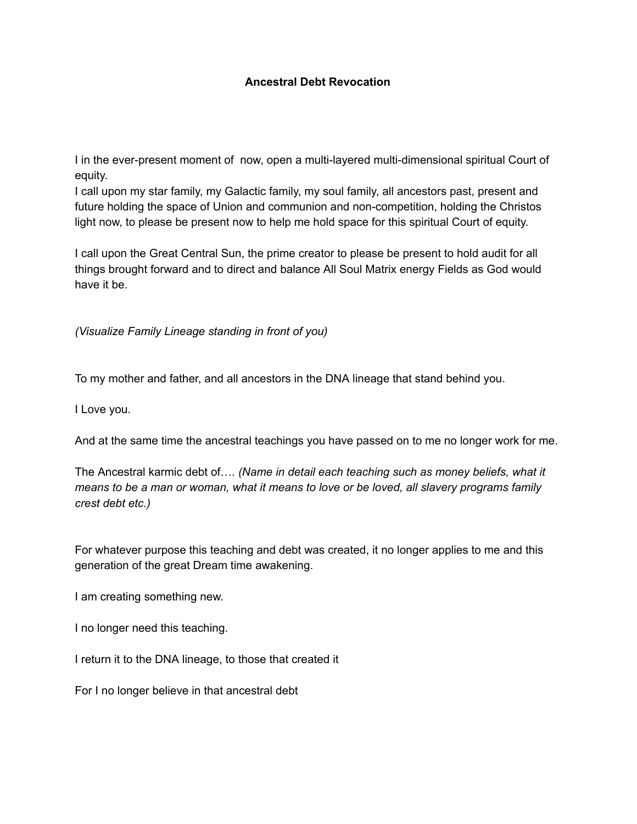## **Ancestral Debt Revocation**

I in the ever-present moment of now, open a multi-layered multi-dimensional spiritual Court of equity.

I call upon my star family, my Galactic family, my soul family, all ancestors past, present and future holding the space of Union and communion and non-competition, holding the Christos light now, to please be present now to help me hold space for this spiritual Court of equity.

I call upon the Great Central Sun, the prime creator to please be present to hold audit for all things brought forward and to direct and balance All Soul Matrix energy Fields as God would have it be.

*(Visualize Family Lineage standing in front of you)*

To my mother and father, and all ancestors in the DNA lineage that stand behind you.

I Love you.

And at the same time the ancestral teachings you have passed on to me no longer work for me.

The Ancestral karmic debt of…. *(Name in detail each teaching such as money beliefs, what it means to be a man or woman, what it means to love or be loved, all slavery programs family crest debt etc.)*

For whatever purpose this teaching and debt was created, it no longer applies to me and this generation of the great Dream time awakening.

I am creating something new.

I no longer need this teaching.

I return it to the DNA lineage, to those that created it

For I no longer believe in that ancestral debt